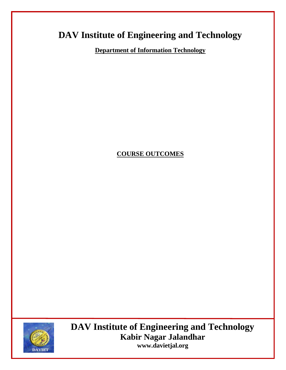# **DAV Institute of Engineering and Technology**

**Department of Information Technology**

#### **COURSE OUTCOMES**



**DAV Institute of Engineering and Technology Kabir Nagar Jalandhar [www.davietjal.org](http://www.davietjal.org/)**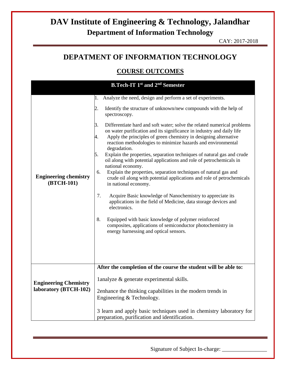CAY: 2017-2018

#### **DEPATMENT OF INFORMATION TECHNOLOGY**

#### **COURSE OUTCOMES**

| 1.<br>2.<br>3.<br>4.<br>5.<br>6.<br><b>Engineering chemistry</b><br>(BTCH-101)<br>7.<br>8.                                                                | Analyze the need, design and perform a set of experiments.<br>Identify the structure of unknown/new compounds with the help of<br>spectroscopy.<br>Differentiate hard and soft water; solve the related numerical problems<br>on water purification and its significance in industry and daily life<br>Apply the principles of green chemistry in designing alternative<br>reaction methodologies to minimize hazards and environmental<br>degradation.                                                                                                                                                                                                   |
|-----------------------------------------------------------------------------------------------------------------------------------------------------------|-----------------------------------------------------------------------------------------------------------------------------------------------------------------------------------------------------------------------------------------------------------------------------------------------------------------------------------------------------------------------------------------------------------------------------------------------------------------------------------------------------------------------------------------------------------------------------------------------------------------------------------------------------------|
|                                                                                                                                                           | Explain the properties, separation techniques of natural gas and crude<br>oil along with potential applications and role of petrochemicals in<br>national economy.<br>Explain the properties, separation techniques of natural gas and<br>crude oil along with potential applications and role of petrochemicals<br>in national economy.<br>Acquire Basic knowledge of Nanochemistry to appreciate its<br>applications in the field of Medicine, data storage devices and<br>electronics.<br>Equipped with basic knowledge of polymer reinforced<br>composites, applications of semiconductor photochemistry in<br>energy harnessing and optical sensors. |
| <b>Engineering Chemistry</b><br>laboratory (BTCH-102)<br>Engineering & Technology.<br>3 learn and apply basic techniques used in chemistry laboratory for | After the completion of the course the student will be able to:<br>lanalyze & generate experimental skills.<br>2enhance the thinking capabilities in the modern trends in                                                                                                                                                                                                                                                                                                                                                                                                                                                                                 |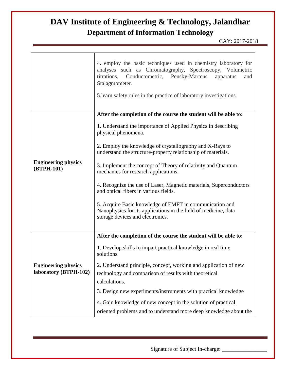CAY: 2017-2018

|                                                     | 4. employ the basic techniques used in chemistry laboratory for<br>analyses such as Chromatography, Spectroscopy, Volumetric<br>titrations, Conductometric, Pensky-Martens<br>apparatus<br>and<br>Stalagmometer.<br>5. Learn safety rules in the practice of laboratory investigations. |
|-----------------------------------------------------|-----------------------------------------------------------------------------------------------------------------------------------------------------------------------------------------------------------------------------------------------------------------------------------------|
|                                                     | After the completion of the course the student will be able to:                                                                                                                                                                                                                         |
|                                                     | 1. Understand the importance of Applied Physics in describing<br>physical phenomena.                                                                                                                                                                                                    |
|                                                     | 2. Employ the knowledge of crystallography and X-Rays to<br>understand the structure-property relationship of materials.                                                                                                                                                                |
| <b>Engineering physics</b><br>(BTPH-101)            | 3. Implement the concept of Theory of relativity and Quantum<br>mechanics for research applications.                                                                                                                                                                                    |
|                                                     | 4. Recognize the use of Laser, Magnetic materials, Superconductors<br>and optical fibers in various fields.                                                                                                                                                                             |
|                                                     | 5. Acquire Basic knowledge of EMFT in communication and<br>Nanophysics for its applications in the field of medicine, data<br>storage devices and electronics.                                                                                                                          |
|                                                     | After the completion of the course the student will be able to:                                                                                                                                                                                                                         |
|                                                     | 1. Develop skills to impart practical knowledge in real time<br>solutions.                                                                                                                                                                                                              |
| <b>Engineering physics</b><br>laboratory (BTPH-102) | 2. Understand principle, concept, working and application of new<br>technology and comparison of results with theoretical<br>calculations.                                                                                                                                              |
|                                                     | 3. Design new experiments/instruments with practical knowledge                                                                                                                                                                                                                          |
|                                                     | 4. Gain knowledge of new concept in the solution of practical<br>oriented problems and to understand more deep knowledge about the                                                                                                                                                      |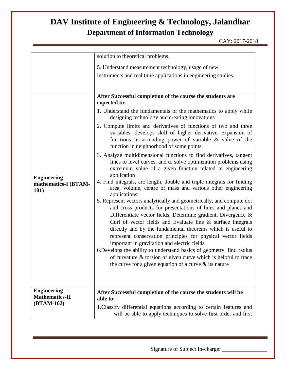CAY: 2017-2018

|                                                    | solution to theoretical problems.                                                                                                                                                                                                                                                                                                                                                                                                                                                                                                                                                                                                                               |
|----------------------------------------------------|-----------------------------------------------------------------------------------------------------------------------------------------------------------------------------------------------------------------------------------------------------------------------------------------------------------------------------------------------------------------------------------------------------------------------------------------------------------------------------------------------------------------------------------------------------------------------------------------------------------------------------------------------------------------|
|                                                    | 5. Understand measurement technology, usage of new                                                                                                                                                                                                                                                                                                                                                                                                                                                                                                                                                                                                              |
|                                                    | instruments and real time applications in engineering studies.                                                                                                                                                                                                                                                                                                                                                                                                                                                                                                                                                                                                  |
|                                                    |                                                                                                                                                                                                                                                                                                                                                                                                                                                                                                                                                                                                                                                                 |
|                                                    | After Successful completion of the course the students are<br>expected to:                                                                                                                                                                                                                                                                                                                                                                                                                                                                                                                                                                                      |
|                                                    | 1. Understand the fundamentals of the mathematics to apply while<br>designing technology and creating innovations                                                                                                                                                                                                                                                                                                                                                                                                                                                                                                                                               |
|                                                    | 2. Compute limits and derivatives of functions of two and three<br>variables, develops skill of higher derivative, expansion of<br>functions in ascending power of variable $\&$ value of the<br>function in neighborhood of some points.                                                                                                                                                                                                                                                                                                                                                                                                                       |
|                                                    | 3. Analyze multidimensional functions to find derivatives, tangent<br>lines to level curves, and to solve optimization problems using<br>extremum value of a given function related to engineering<br>application                                                                                                                                                                                                                                                                                                                                                                                                                                               |
| <b>Engineering</b><br>mathematics-I (BTAM-<br>101) | 4. Find integrals, arc length, double and triple integrals for finding<br>area, volume, centre of mass and various other engineering<br>applications                                                                                                                                                                                                                                                                                                                                                                                                                                                                                                            |
|                                                    | 5. Represent vectors analytically and geometrically, and compute dot<br>and cross products for presentations of lines and planes and<br>Differentiate vector fields, Determine gradient, Divergence &<br>Curl of vector fields and Evaluate line $\&$ surface integrals<br>directly and by the fundamental theorems which is useful to<br>represent conservation principles for physical vector fields<br>important in gravitation and electric fields<br>6. Develops the ability to understand basics of geometry, find radius<br>of curvature & torsion of given curve which is helpful to trace<br>the curve for a given equation of a curve $\&$ its nature |
| <b>Engineering</b><br><b>Mathematics-II</b>        | After Successful completion of the course the students will be<br>able to:                                                                                                                                                                                                                                                                                                                                                                                                                                                                                                                                                                                      |
| (BTAM-102)                                         | 1. Classify differential equations according to certain features and<br>will be able to apply techniques to solve first order and first                                                                                                                                                                                                                                                                                                                                                                                                                                                                                                                         |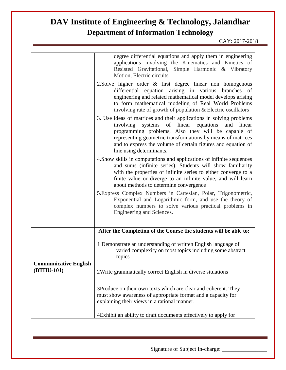CAY: 2017-2018

|                                            | degree differential equations and apply them in engineering<br>applications involving the Kinematics and Kinetics of<br>Resisted Gravitational, Simple Harmonic & Vibratory<br>Motion, Electric circuits                                                                                                                                       |
|--------------------------------------------|------------------------------------------------------------------------------------------------------------------------------------------------------------------------------------------------------------------------------------------------------------------------------------------------------------------------------------------------|
|                                            | 2. Solve higher order & first degree linear non homogenous<br>differential equation arising in various branches of<br>engineering and related mathematical model develops arising<br>to form mathematical modeling of Real World Problems<br>involving rate of growth of population & Electric oscillators                                     |
|                                            | 3. Use ideas of matrices and their applications in solving problems<br>involving systems of linear equations<br>and<br>linear<br>programming problems, Also they will be capable of<br>representing geometric transformations by means of matrices<br>and to express the volume of certain figures and equation of<br>line using determinants. |
|                                            | 4. Show skills in computations and applications of infinite sequences<br>and sums (infinite series). Students will show familiarity<br>with the properties of infinite series to either converge to a<br>finite value or diverge to an infinite value, and will learn<br>about methods to determine convergence                                |
|                                            | 5. Express Complex Numbers in Cartesian, Polar, Trigonometric,<br>Exponential and Logarithmic form, and use the theory of<br>complex numbers to solve various practical problems in<br>Engineering and Sciences.                                                                                                                               |
|                                            | After the Completion of the Course the students will be able to:                                                                                                                                                                                                                                                                               |
|                                            | 1 Demonstrate an understanding of written English language of<br>varied complexity on most topics including some abstract<br>topics                                                                                                                                                                                                            |
| <b>Communicative English</b><br>(BTHU-101) | 2Write grammatically correct English in diverse situations                                                                                                                                                                                                                                                                                     |
|                                            | 3Produce on their own texts which are clear and coherent. They<br>must show awareness of appropriate format and a capacity for<br>explaining their views in a rational manner.                                                                                                                                                                 |
|                                            | 4 Exhibit an ability to draft documents effectively to apply for                                                                                                                                                                                                                                                                               |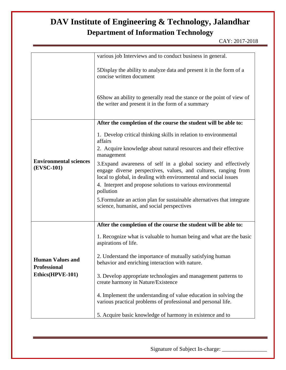|                                                | various job Interviews and to conduct business in general.                                                                                                                                                                                                                         |
|------------------------------------------------|------------------------------------------------------------------------------------------------------------------------------------------------------------------------------------------------------------------------------------------------------------------------------------|
|                                                | 5Display the ability to analyze data and present it in the form of a<br>concise written document                                                                                                                                                                                   |
|                                                | 6Show an ability to generally read the stance or the point of view of<br>the writer and present it in the form of a summary                                                                                                                                                        |
|                                                | After the completion of the course the student will be able to:                                                                                                                                                                                                                    |
|                                                | 1. Develop critical thinking skills in relation to environmental<br>affairs<br>2. Acquire knowledge about natural resources and their effective<br>management                                                                                                                      |
| <b>Environmental sciences</b><br>(EVSC-101)    | 3. Expand awareness of self in a global society and effectively<br>engage diverse perspectives, values, and cultures, ranging from<br>local to global, in dealing with environmental and social issues<br>4. Interpret and propose solutions to various environmental<br>pollution |
|                                                | 5. Formulate an action plan for sustainable alternatives that integrate<br>science, humanist, and social perspectives                                                                                                                                                              |
|                                                | After the completion of the course the student will be able to:                                                                                                                                                                                                                    |
|                                                | 1. Recognize what is valuable to human being and what are the basic<br>aspirations of life.                                                                                                                                                                                        |
| <b>Human Values and</b><br><b>Professional</b> | 2. Understand the importance of mutually satisfying human<br>behavior and enriching interaction with nature.                                                                                                                                                                       |
| Ethics(HPVE-101)                               | 3. Develop appropriate technologies and management patterns to<br>create harmony in Nature/Existence                                                                                                                                                                               |
|                                                | 4. Implement the understanding of value education in solving the<br>various practical problems of professional and personal life.                                                                                                                                                  |
|                                                | 5. Acquire basic knowledge of harmony in existence and to                                                                                                                                                                                                                          |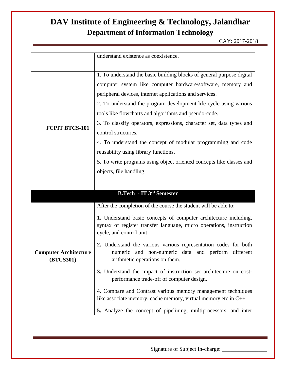CAY: 2017-2018

|                                           | understand existence as coexistence.                                                                                                                                                                                                                                                                                                                                                                                                                                                                                                                                                                                                    |
|-------------------------------------------|-----------------------------------------------------------------------------------------------------------------------------------------------------------------------------------------------------------------------------------------------------------------------------------------------------------------------------------------------------------------------------------------------------------------------------------------------------------------------------------------------------------------------------------------------------------------------------------------------------------------------------------------|
|                                           |                                                                                                                                                                                                                                                                                                                                                                                                                                                                                                                                                                                                                                         |
| <b>FCPIT BTCS-101</b>                     | 1. To understand the basic building blocks of general purpose digital<br>computer system like computer hardware/software, memory and<br>peripheral devices, internet applications and services.<br>2. To understand the program development life cycle using various<br>tools like flowcharts and algorithms and pseudo-code.<br>3. To classify operators, expressions, character set, data types and<br>control structures.<br>4. To understand the concept of modular programming and code<br>reusability using library functions.<br>5. To write programs using object oriented concepts like classes and<br>objects, file handling. |
|                                           |                                                                                                                                                                                                                                                                                                                                                                                                                                                                                                                                                                                                                                         |
|                                           | <b>B.Tech - IT 3rd Semester</b>                                                                                                                                                                                                                                                                                                                                                                                                                                                                                                                                                                                                         |
|                                           | After the completion of the course the student will be able to:                                                                                                                                                                                                                                                                                                                                                                                                                                                                                                                                                                         |
|                                           | 1. Understand basic concepts of computer architecture including,<br>syntax of register transfer language, micro operations, instruction<br>cycle, and control unit.                                                                                                                                                                                                                                                                                                                                                                                                                                                                     |
| <b>Computer Architecture</b><br>(BTCS301) | 2. Understand the various various representation codes for both<br>numeric and non-numeric data and perform different<br>arithmetic operations on them.                                                                                                                                                                                                                                                                                                                                                                                                                                                                                 |
|                                           | 3. Understand the impact of instruction set architecture on cost-<br>performance trade-off of computer design.                                                                                                                                                                                                                                                                                                                                                                                                                                                                                                                          |
|                                           | 4. Compare and Contrast various memory management techniques<br>like associate memory, cache memory, virtual memory etc.in C++.                                                                                                                                                                                                                                                                                                                                                                                                                                                                                                         |
|                                           | 5. Analyze the concept of pipelining, multiprocessors, and inter                                                                                                                                                                                                                                                                                                                                                                                                                                                                                                                                                                        |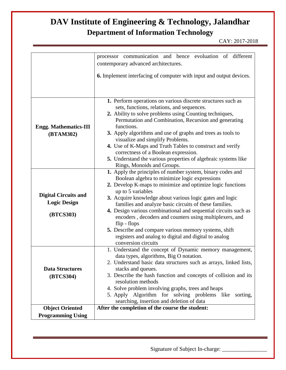|                                                                 | communication and hence evoluation of different<br>processor<br>contemporary advanced architectures.                                                                                                                                                                                                                                                                                                                                                                                                                                                                                 |
|-----------------------------------------------------------------|--------------------------------------------------------------------------------------------------------------------------------------------------------------------------------------------------------------------------------------------------------------------------------------------------------------------------------------------------------------------------------------------------------------------------------------------------------------------------------------------------------------------------------------------------------------------------------------|
|                                                                 | <b>6.</b> Implement interfacing of computer with input and output devices.                                                                                                                                                                                                                                                                                                                                                                                                                                                                                                           |
|                                                                 | 1. Perform operations on various discrete structures such as                                                                                                                                                                                                                                                                                                                                                                                                                                                                                                                         |
| <b>Engg. Mathematics-III</b><br>(BTAM302)                       | sets, functions, relations, and sequences.<br>2. Ability to solve problems using Counting techniques,<br>Permutation and Combination, Recursion and generating<br>functions.<br>3. Apply algorithms and use of graphs and trees as tools to                                                                                                                                                                                                                                                                                                                                          |
|                                                                 | visualize and simplify Problems.<br>4. Use of K-Maps and Truth Tables to construct and verify<br>correctness of a Boolean expression.<br>5. Understand the various properties of algebraic systems like<br>Rings, Monoids and Groups.                                                                                                                                                                                                                                                                                                                                                |
| <b>Digital Circuits and</b><br><b>Logic Design</b><br>(BTCS303) | 1. Apply the principles of number system, binary codes and<br>Boolean algebra to minimize logic expressions<br>2. Develop K-maps to minimize and optimize logic functions<br>up to 5 variables<br>3. Acquire knowledge about various logic gates and logic<br>families and analyze basic circuits of these families.<br>4. Design various combinational and sequential circuits such as<br>encoders, decoders and counters using multiplexers, and<br>flip - flops<br>5. Describe and compare various memory systems, shift<br>registers and analog to digital and digital to analog |
|                                                                 | conversion circuits                                                                                                                                                                                                                                                                                                                                                                                                                                                                                                                                                                  |
| <b>Data Structures</b>                                          | 1. Understand the concept of Dynamic memory management,<br>data types, algorithms, Big O notation.<br>2. Understand basic data structures such as arrays, linked lists,<br>stacks and queues.                                                                                                                                                                                                                                                                                                                                                                                        |
| (BTCS304)                                                       | 3. Describe the hash function and concepts of collision and its<br>resolution methods<br>4. Solve problem involving graphs, trees and heaps<br>5. Apply Algorithm for solving problems like<br>sorting,<br>searching, insertion and deletion of data                                                                                                                                                                                                                                                                                                                                 |
| <b>Object Oriented</b>                                          | After the completion of the course the student:                                                                                                                                                                                                                                                                                                                                                                                                                                                                                                                                      |
| <b>Programming Using</b>                                        |                                                                                                                                                                                                                                                                                                                                                                                                                                                                                                                                                                                      |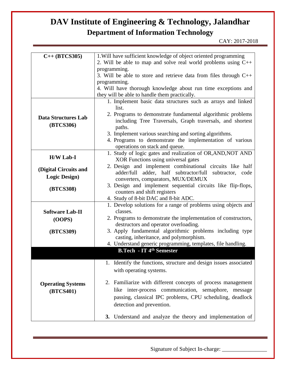| $C++ (BTCS305)$            | 1. Will have sufficient knowledge of object oriented programming<br>2. Will be able to map and solve real world problems using $C++$ |
|----------------------------|--------------------------------------------------------------------------------------------------------------------------------------|
|                            | programming.                                                                                                                         |
|                            |                                                                                                                                      |
|                            | 3. Will be able to store and retrieve data from files through $C++$                                                                  |
|                            | programming.                                                                                                                         |
|                            | 4. Will have thorough knowledge about run time exceptions and                                                                        |
|                            | they will be able to handle them practically.                                                                                        |
|                            | 1. Implement basic data structures such as arrays and linked                                                                         |
|                            | list.                                                                                                                                |
| <b>Data Structures Lab</b> | 2. Programs to demonstrate fundamental algorithmic problems                                                                          |
| (BTCS306)                  | including Tree Traversals, Graph traversals, and shortest                                                                            |
|                            | paths.                                                                                                                               |
|                            | 3. Implement various searching and sorting algorithms.                                                                               |
|                            | 4. Programs to demonstrate the implementation of various                                                                             |
|                            | operations on stack and queue.                                                                                                       |
| <b>H/W Lab-I</b>           | 1. Study of logic gates and realization of OR, AND, NOT AND                                                                          |
|                            | XOR Functions using universal gates                                                                                                  |
| (Digital Circuits and      | 2. Design and implement combinational circuits like half                                                                             |
| <b>Logic Design)</b>       | adder/full adder, half subtractor/full<br>subtractor, code                                                                           |
|                            | converters, comparators, MUX/DEMUX                                                                                                   |
| (BTCS308)                  | 3. Design and implement sequential circuits like flip-flops,                                                                         |
|                            | counters and shift registers                                                                                                         |
|                            | 4. Study of 8-bit DAC and 8-bit ADC.                                                                                                 |
|                            | 1. Develop solutions for a range of problems using objects and                                                                       |
| <b>Software Lab-II</b>     | classes.                                                                                                                             |
| (OOPS)                     | 2. Programs to demonstrate the implementation of constructors,                                                                       |
|                            | destructors and operator overloading.                                                                                                |
| (BTCS309)                  | 3. Apply fundamental algorithmic problems including type                                                                             |
|                            | casting, inheritance, and polymorphism.                                                                                              |
|                            | 4. Understand generic programming, templates, file handling.                                                                         |
|                            | <b>B.Tech - IT 4th Semester</b>                                                                                                      |
|                            |                                                                                                                                      |
|                            | 1. Identify the functions, structure and design issues associated                                                                    |
|                            | with operating systems.                                                                                                              |
|                            |                                                                                                                                      |
| <b>Operating Systems</b>   | Familiarize with different concepts of process management<br>2.                                                                      |
| (BTCS401)                  | like inter-process communication, semaphore,<br>message                                                                              |
|                            | passing, classical IPC problems, CPU scheduling, deadlock                                                                            |
|                            | detection and prevention.                                                                                                            |
|                            |                                                                                                                                      |
|                            | 3. Understand and analyze the theory and implementation of                                                                           |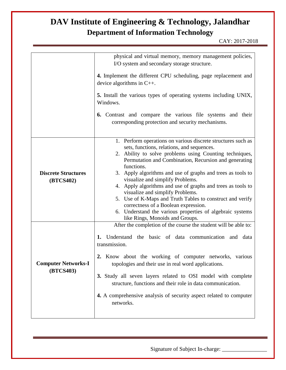|                                         | physical and virtual memory, memory management policies,<br>I/O system and secondary storage structure.                                                                                                                                                                                                                                                                                                                                                                                                                                                                                                                                                 |
|-----------------------------------------|---------------------------------------------------------------------------------------------------------------------------------------------------------------------------------------------------------------------------------------------------------------------------------------------------------------------------------------------------------------------------------------------------------------------------------------------------------------------------------------------------------------------------------------------------------------------------------------------------------------------------------------------------------|
|                                         | 4. Implement the different CPU scheduling, page replacement and<br>device algorithms in $C_{++}$ .                                                                                                                                                                                                                                                                                                                                                                                                                                                                                                                                                      |
|                                         | 5. Install the various types of operating systems including UNIX,<br>Windows.                                                                                                                                                                                                                                                                                                                                                                                                                                                                                                                                                                           |
|                                         | Contrast and compare the various file systems and their<br>6.<br>corresponding protection and security mechanisms.                                                                                                                                                                                                                                                                                                                                                                                                                                                                                                                                      |
| <b>Discrete Structures</b><br>(BTCS402) | 1. Perform operations on various discrete structures such as<br>sets, functions, relations, and sequences.<br>2. Ability to solve problems using Counting techniques,<br>Permutation and Combination, Recursion and generating<br>functions.<br>3. Apply algorithms and use of graphs and trees as tools to<br>visualize and simplify Problems.<br>4. Apply algorithms and use of graphs and trees as tools to<br>visualize and simplify Problems.<br>5. Use of K-Maps and Truth Tables to construct and verify<br>correctness of a Boolean expression.<br>6. Understand the various properties of algebraic systems<br>like Rings, Monoids and Groups. |
| <b>Computer Networks-I</b><br>(BTCS403) | After the completion of the course the student will be able to:<br>Understand the basic of data communication and data<br>1.<br>transmission.<br>2. Know about the working of computer networks, various<br>topologies and their use in real word applications.<br>3. Study all seven layers related to OSI model with complete<br>structure, functions and their role in data communication.<br>4. A comprehensive analysis of security aspect related to computer<br>networks.                                                                                                                                                                        |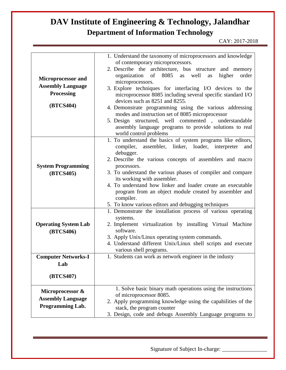| <b>Microprocessor and</b><br><b>Assembly Language</b><br><b>Processing</b><br>(BTCS404) | 1. Understand the taxonomy of microprocessors and knowledge<br>of contemporary microprocessors.<br>2. Describe the architecture, bus structure and memory<br>8085<br>well<br>organization<br>of<br>higher<br>order<br>as<br>as<br>microprocessors.<br>3. Explore techniques for interfacing I/O devices to the<br>microprocessor 8085 including several specific standard I/O<br>devices such as 8251 and 8255.<br>4. Demonstrate programming using the various addressing<br>modes and instruction set of 8085 microprocessor<br>5. Design structured, well commented, understandable<br>assembly language programs to provide solutions to real<br>world control problems |
|-----------------------------------------------------------------------------------------|-----------------------------------------------------------------------------------------------------------------------------------------------------------------------------------------------------------------------------------------------------------------------------------------------------------------------------------------------------------------------------------------------------------------------------------------------------------------------------------------------------------------------------------------------------------------------------------------------------------------------------------------------------------------------------|
| <b>System Programming</b><br>(BTCS405)                                                  | 1. To understand the basics of system programs like editors,<br>compiler,<br>assembler, linker, loader, interpreter<br>and<br>debugger.<br>2. Describe the various concepts of assemblers and macro<br>processors.<br>3. To understand the various phases of compiler and compare<br>its working with assembler.<br>4. To understand how linker and loader create an executable<br>program from an object module created by assembler and<br>compiler.<br>5. To know various editors and debugging techniques                                                                                                                                                               |
| <b>Operating System Lab</b><br>(BTCS406)<br><b>Computer Networks-I</b><br>Lab           | 1. Demonstrate the installation process of various operating<br>systems.<br>2. Implement virtualization by installing Virtual Machine<br>software.<br>3. Apply Unix/Linux operating system commands.<br>4. Understand different Unix/Linux shell scripts and execute<br>various shell programs.<br>1. Students can work as network engineer in the industy                                                                                                                                                                                                                                                                                                                  |
| (BTCS407)<br>Microprocessor &<br><b>Assembly Language</b><br><b>Programming Lab.</b>    | 1. Solve basic binary math operations using the instructions<br>of microprocessor 8085.<br>2. Apply programming knowledge using the capabilities of the<br>stack, the program counter<br>3. Design, code and debugs Assembly Language programs to                                                                                                                                                                                                                                                                                                                                                                                                                           |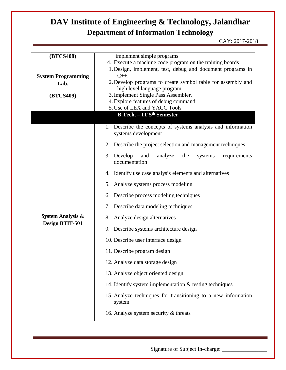CAY: 2017-2018

| (BTCS408)                         | implement simple programs                                                           |
|-----------------------------------|-------------------------------------------------------------------------------------|
|                                   | 4. Execute a machine code program on the training boards                            |
|                                   | 1. Design, implement, test, debug and document programs in                          |
| <b>System Programming</b><br>Lab. | $C++$ .<br>2. Develop programs to create symbol table for assembly and              |
|                                   | high level language program.                                                        |
| (BTCS409)                         | 3. Implement Single Pass Assembler.                                                 |
|                                   | 4. Explore features of debug command.<br>5. Use of LEX and YACC Tools               |
|                                   | <b>B.Tech.</b> - IT 5 <sup>th</sup> Semester                                        |
|                                   |                                                                                     |
|                                   | 1. Describe the concepts of systems analysis and information<br>systems development |
|                                   | 2. Describe the project selection and management techniques                         |
|                                   | 3. Develop<br>analyze<br>and<br>the<br>requirements<br>systems<br>documentation     |
|                                   | 4. Identify use case analysis elements and alternatives                             |
|                                   | 5. Analyze systems process modeling                                                 |
|                                   | Describe process modeling techniques<br>6.                                          |
|                                   | Describe data modeling techniques<br>7.                                             |
| <b>System Analysis &amp;</b>      | 8. Analyze design alternatives                                                      |
| Design BTIT-501                   | 9. Describe systems architecture design                                             |
|                                   | 10. Describe user interface design                                                  |
|                                   | 11. Describe program design                                                         |
|                                   | 12. Analyze data storage design                                                     |
|                                   | 13. Analyze object oriented design                                                  |
|                                   | 14. Identify system implementation $\&$ testing techniques                          |
|                                   | 15. Analyze techniques for transitioning to a new information<br>system             |
|                                   | 16. Analyze system security & threats                                               |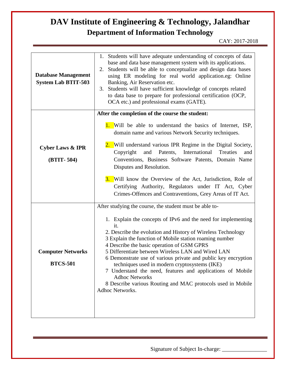| <b>Database Management</b><br><b>System Lab BTIT-503</b> | 1. Students will have adequate understanding of concepts of data<br>base and data base management system with its applications.<br>2. Students will be able to conceptualize and design data bases<br>using ER modeling for real world application.eg: Online<br>Banking, Air Reservation etc.<br>Students will have sufficient knowledge of concepts related<br>3.<br>to data base to prepare for professional certification (OCP,<br>OCA etc.) and professional exams (GATE).                                                                                                                 |
|----------------------------------------------------------|-------------------------------------------------------------------------------------------------------------------------------------------------------------------------------------------------------------------------------------------------------------------------------------------------------------------------------------------------------------------------------------------------------------------------------------------------------------------------------------------------------------------------------------------------------------------------------------------------|
|                                                          | After the completion of the course the student:<br><b>1.</b> Will be able to understand the basics of Internet, ISP,                                                                                                                                                                                                                                                                                                                                                                                                                                                                            |
|                                                          | domain name and various Network Security techniques.                                                                                                                                                                                                                                                                                                                                                                                                                                                                                                                                            |
| <b>Cyber Laws &amp; IPR</b><br>(BTIT-504)                | 2. Will understand various IPR Regime in the Digital Society,<br>Copyright<br>International<br>Treaties<br>and<br>Patents,<br>and<br>Conventions, Business Software Patents, Domain Name<br>Disputes and Resolution.                                                                                                                                                                                                                                                                                                                                                                            |
|                                                          | <b>3.</b> Will know the Overview of the Act, Jurisdiction, Role of<br>Certifying Authority, Regulators under IT Act, Cyber<br>Crimes-Offences and Contraventions, Grey Areas of IT Act.                                                                                                                                                                                                                                                                                                                                                                                                         |
|                                                          | After studying the course, the student must be able to-                                                                                                                                                                                                                                                                                                                                                                                                                                                                                                                                         |
| <b>Computer Networks</b><br><b>BTCS-501</b>              | 1. Explain the concepts of IPv6 and the need for implementing<br>it.<br>2. Describe the evolution and History of Wireless Technology<br>3 Explain the function of Mobile station roaming number<br>4 Describe the basic operation of GSM GPRS<br>5 Differentiate between Wireless LAN and Wired LAN<br>6 Demonstrate use of various private and public key encryption<br>techniques used in modern cryptosystems (IKE)<br>7 Understand the need, features and applications of Mobile<br><b>Adhoc Networks</b><br>8 Describe various Routing and MAC protocols used in Mobile<br>Adhoc Networks. |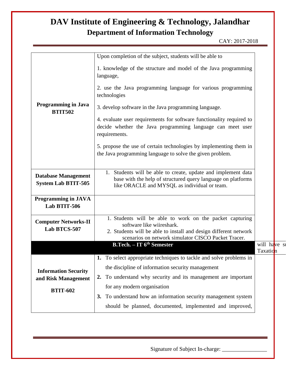| <b>Programming in Java</b><br><b>BTIT502</b>             | Upon completion of the subject, students will be able to                                                                                                                                                         |                          |  |
|----------------------------------------------------------|------------------------------------------------------------------------------------------------------------------------------------------------------------------------------------------------------------------|--------------------------|--|
|                                                          | 1. knowledge of the structure and model of the Java programming<br>language,                                                                                                                                     |                          |  |
|                                                          | 2. use the Java programming language for various programming<br>technologies                                                                                                                                     |                          |  |
|                                                          | 3. develop software in the Java programming language.                                                                                                                                                            |                          |  |
|                                                          | 4. evaluate user requirements for software functionality required to<br>decide whether the Java programming language can meet user<br>requirements.                                                              |                          |  |
|                                                          | 5. propose the use of certain technologies by implementing them in<br>the Java programming language to solve the given problem.                                                                                  |                          |  |
| <b>Database Management</b><br><b>System Lab BTIT-505</b> | Students will be able to create, update and implement data<br>base with the help of structured query language on platforms<br>like ORACLE and MYSQL as individual or team.                                       |                          |  |
| <b>Programming in JAVA</b><br>Lab BTIT-506               |                                                                                                                                                                                                                  |                          |  |
| <b>Computer Networks-II</b><br>Lab BTCS-507              | 1. Students will be able to work on the packet capturing<br>software like wiireshark.<br>2. Students will be able to install and design different network<br>scenarios on network simulator CISCO Packet Tracer. |                          |  |
|                                                          | B.Tech. - IT 6 <sup>th</sup> Semester                                                                                                                                                                            | will have st<br>Taxation |  |
|                                                          | 1. To select appropriate techniques to tackle and solve problems in                                                                                                                                              |                          |  |
| <b>Information Security</b>                              | the discipline of information security management                                                                                                                                                                |                          |  |
| and Risk Management                                      | 2. To understand why security and its management are important                                                                                                                                                   |                          |  |
| <b>BTIT-602</b>                                          | for any modern organisation                                                                                                                                                                                      |                          |  |
|                                                          | 3. To understand how an information security management system                                                                                                                                                   |                          |  |
|                                                          | should be planned, documented, implemented and improved,                                                                                                                                                         |                          |  |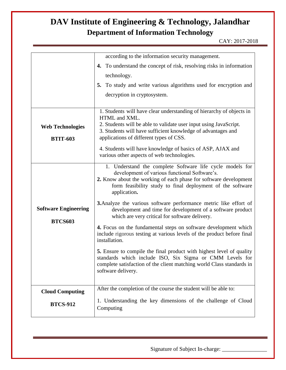|                             | according to the information security management.                                                                                         |
|-----------------------------|-------------------------------------------------------------------------------------------------------------------------------------------|
|                             | 4. To understand the concept of risk, resolving risks in information                                                                      |
|                             | technology.                                                                                                                               |
|                             | 5. To study and write various algorithms used for encryption and                                                                          |
|                             | decryption in cryptosystem.                                                                                                               |
|                             |                                                                                                                                           |
|                             | 1. Students will have clear understanding of hierarchy of objects in<br>HTML and XML.                                                     |
| <b>Web Technologies</b>     | 2. Students will be able to validate user input using JavaScript.                                                                         |
|                             | 3. Students will have sufficient knowledge of advantages and                                                                              |
| <b>BTIT-603</b>             | applications of different types of CSS.                                                                                                   |
|                             | 4. Students will have knowledge of basics of ASP, AJAX and<br>various other aspects of web technologies.                                  |
|                             |                                                                                                                                           |
|                             | 1. Understand the complete Software life cycle models for<br>development of various functional Software's.                                |
|                             | 2. Know about the working of each phase for software development                                                                          |
|                             | form feasibility study to final deployment of the software<br>application.                                                                |
|                             | <b>3.</b> Analyze the various software performance metric like effort of                                                                  |
| <b>Software Engineering</b> | development and time for development of a software product                                                                                |
| <b>BTCS603</b>              | which are very critical for software delivery.                                                                                            |
|                             | 4. Focus on the fundamental steps on software development which<br>include rigorous testing at various levels of the product before final |
|                             | installation.                                                                                                                             |
|                             | <b>5.</b> Ensure to compile the final product with highest level of quality                                                               |
|                             | standards which include ISO, Six Sigma or CMM Levels for                                                                                  |
|                             | complete satisfaction of the client matching world Class standards in<br>software delivery.                                               |
|                             |                                                                                                                                           |
| <b>Cloud Computing</b>      | After the completion of the course the student will be able to:                                                                           |
|                             | 1. Understanding the key dimensions of the challenge of Cloud                                                                             |
| <b>BTCS-912</b>             | Computing                                                                                                                                 |
|                             |                                                                                                                                           |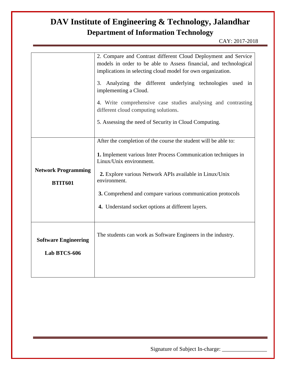CAY: 2017-2018

|                                              | 2. Compare and Contrast different Cloud Deployment and Service<br>models in order to be able to Assess financial, and technological<br>implications in selecting cloud model for own organization.<br>3. Analyzing the different underlying technologies used in<br>implementing a Cloud.<br>4. Write comprehensive case studies analysing and contrasting<br>different cloud computing solutions.<br>5. Assessing the need of Security in Cloud Computing. |
|----------------------------------------------|-------------------------------------------------------------------------------------------------------------------------------------------------------------------------------------------------------------------------------------------------------------------------------------------------------------------------------------------------------------------------------------------------------------------------------------------------------------|
| <b>Network Programming</b><br><b>BTIT601</b> | After the completion of the course the student will be able to:<br>1. Implement various Inter Process Communication techniques in<br>Linux/Unix environment.<br>2. Explore various Network APIs available in Linux/Unix<br>environment.<br>3. Comprehend and compare various communication protocols<br>4. Understand socket options at different layers.                                                                                                   |
| <b>Software Engineering</b><br>Lab BTCS-606  | The students can work as Software Engineers in the industry.                                                                                                                                                                                                                                                                                                                                                                                                |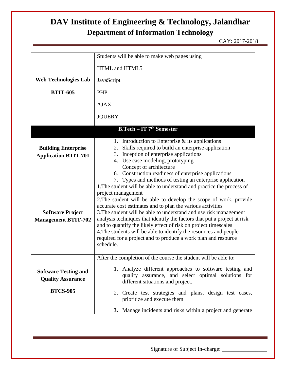CAY: 2017-2018

|                                                                            | Students will be able to make web pages using                                                                                                                                                                                                                                                                                                                                                                                                                                                                                                                                                          |  |
|----------------------------------------------------------------------------|--------------------------------------------------------------------------------------------------------------------------------------------------------------------------------------------------------------------------------------------------------------------------------------------------------------------------------------------------------------------------------------------------------------------------------------------------------------------------------------------------------------------------------------------------------------------------------------------------------|--|
|                                                                            |                                                                                                                                                                                                                                                                                                                                                                                                                                                                                                                                                                                                        |  |
|                                                                            | HTML and HTML5                                                                                                                                                                                                                                                                                                                                                                                                                                                                                                                                                                                         |  |
| <b>Web Technologies Lab</b>                                                | JavaScript                                                                                                                                                                                                                                                                                                                                                                                                                                                                                                                                                                                             |  |
| <b>BTIT-605</b>                                                            | PHP                                                                                                                                                                                                                                                                                                                                                                                                                                                                                                                                                                                                    |  |
|                                                                            | <b>AJAX</b>                                                                                                                                                                                                                                                                                                                                                                                                                                                                                                                                                                                            |  |
|                                                                            | <b>JQUERY</b>                                                                                                                                                                                                                                                                                                                                                                                                                                                                                                                                                                                          |  |
|                                                                            | <b>B.Tech – IT 7th Semester</b>                                                                                                                                                                                                                                                                                                                                                                                                                                                                                                                                                                        |  |
| <b>Building Enterprise</b><br><b>Application BTIT-701</b>                  | 1. Introduction to Enterprise $&$ its applications<br>Skills required to build an enterprise application<br>2.<br>Inception of enterprise applications<br>3.<br>4. Use case modeling, prototyping<br>Concept of architecture<br>6. Construction readiness of enterprise applications<br>7. Types and methods of testing an enterprise application                                                                                                                                                                                                                                                      |  |
| <b>Software Project</b><br><b>Management BTIT-702</b>                      | 1. The student will be able to understand and practice the process of<br>project management<br>2. The student will be able to develop the scope of work, provide<br>accurate cost estimates and to plan the various activities<br>3. The student will be able to understand and use risk management<br>analysis techniques that identify the factors that put a project at risk<br>and to quantify the likely effect of risk on project timescales<br>4. The students will be able to identify the resources and people<br>required for a project and to produce a work plan and resource<br>schedule. |  |
| <b>Software Testing and</b><br><b>Quality Assurance</b><br><b>BTCS-905</b> | After the completion of the course the student will be able to:<br>1. Analyze different approaches to software testing and<br>quality assurance, and select optimal solutions for<br>different situations and project.                                                                                                                                                                                                                                                                                                                                                                                 |  |
|                                                                            | 2. Create test strategies and plans, design test cases,<br>prioritize and execute them<br>3. Manage incidents and risks within a project and generate                                                                                                                                                                                                                                                                                                                                                                                                                                                  |  |
|                                                                            |                                                                                                                                                                                                                                                                                                                                                                                                                                                                                                                                                                                                        |  |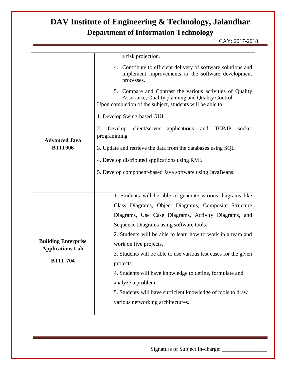CAY: 2017-2018

|                                                       | a risk projection.                                                                                                                |
|-------------------------------------------------------|-----------------------------------------------------------------------------------------------------------------------------------|
|                                                       | 4. Contribute to efficient delivery of software solutions and<br>implement improvements in the software development<br>processes. |
|                                                       | 5. Compare and Contrast the various activities of Quality<br>Assurance, Quality planning and Quality Control                      |
|                                                       | Upon completion of the subject, students will be able to                                                                          |
|                                                       | 1. Develop Swing-based GUI                                                                                                        |
| <b>Advanced Java</b>                                  | Develop<br>client/server<br>applications<br>TCP/IP<br>and<br>socket<br>2.<br>programming                                          |
| <b>BTIT906</b>                                        | 3. Update and retrieve the data from the databases using SQL                                                                      |
|                                                       | 4. Develop distributed applications using RMI.                                                                                    |
|                                                       | 5. Develop component-based Java software using JavaBeans.                                                                         |
|                                                       |                                                                                                                                   |
|                                                       | 1. Students will be able to generate various diagrams like                                                                        |
|                                                       | Class Diagrams, Object Diagrams, Composite Structure                                                                              |
|                                                       | Diagrams, Use Case Diagrams, Activity Diagrams, and                                                                               |
|                                                       | Sequence Diagrams using software tools.                                                                                           |
|                                                       | 2. Students will be able to learn how to work in a team and                                                                       |
| <b>Building Enterprise</b><br><b>Applications Lab</b> | work on live projects.                                                                                                            |
|                                                       | 3. Students will be able to use various test cases for the given                                                                  |
| <b>BTIT-704</b>                                       | projects.                                                                                                                         |
|                                                       | 4. Students will have knowledge to define, formulate and                                                                          |
|                                                       | analyze a problem.                                                                                                                |
|                                                       | 5. Students will have sufficient knowledge of tools to draw                                                                       |
|                                                       | various networking architectures.                                                                                                 |
|                                                       |                                                                                                                                   |